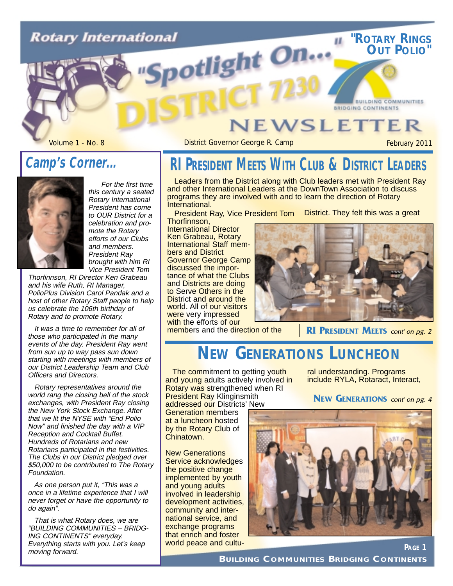# **Rotary International** potlight On...

### **JEWSLETTER**

Volume 1 - No. 8 **District Governor George R. Camp** February 2011

**"ROTARY RINGS OUT POLIO"**

**BUILDING COMMUNITIES** 

**BRIDGING CONTINENTS** 

#### **Camp's Corner...**



For the first time this century a seated Rotary International President has come to OUR District for a celebration and promote the Rotary efforts of our Clubs and members. President Ray brought with him RI Vice President Tom

Thorfinnson, RI Director Ken Grabeau and his wife Ruth, RI Manager, PolioPlus Division Carol Pandak and a host of other Rotary Staff people to help us celebrate the 106th birthday of Rotary and to promote Rotary.

It was a time to remember for all of those who participated in the many events of the day. President Ray went from sun up to way pass sun down starting with meetings with members of our District Leadership Team and Club Officers and Directors.

Rotary representatives around the world rang the closing bell of the stock exchanges, with President Ray closing the New York Stock Exchange. After that we lit the NYSE with "End Polio Now" and finished the day with a VIP Reception and Cocktail Buffet. Hundreds of Rotarians and new Rotarians participated in the festivities. The Clubs in our District pledged over \$50,000 to be contributed to The Rotary Foundation.

As one person put it, "This was a once in a lifetime experience that I will never forget or have the opportunity to do again".

That is what Rotary does, we are "BUILDING COMMUNITIES – BRIDG-ING CONTINENTS" everyday. Everything starts with you. Let's keep moving forward.

# **RI PRESIDENT MEETS WITH CLUB & DISTRICT LEADERS**

Leaders from the District along with Club leaders met with President Ray and other International Leaders at the DownTown Association to discuss programs they are involved with and to learn the direction of Rotary International.

President Ray, Vice President Tom | District. They felt this was a great

Thorfinnson, International Director Ken Grabeau, Rotary International Staff members and District Governor George Camp discussed the importance of what the Clubs and Districts are doing to Serve Others in the District and around the world. All of our visitors were very impressed with the efforts of our



members and the direction of the

**RI PRESIDENT MEETS** cont' on pg. 2

# **NEW GENERATIONS LUNCHEON**

The commitment to getting youth and young adults actively involved in Rotary was strengthened when RI **President Ray Klinginsmith** 

addressed our Districts' New Generation members at a luncheon hosted by the Rotary Club of Chinatown.

New Generations Service acknowledges the positive change implemented by youth and young adults involved in leadership development activities, community and international service, and exchange programs that enrich and foster world peace and cultu-

ral understanding. Programs include RYLA, Rotaract, Interact,

**NEW GENERATIONS** cont' on pg. 4

**PAGE 1**



**BUILDING COMMUNITIES BRIDGING CONTINENTS**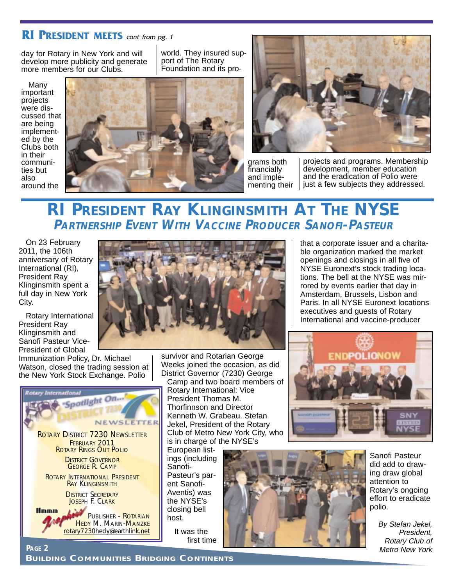#### **RI PRESIDENT MEETS** cont' from pg. 1

day for Rotary in New York and will develop more publicity and generate more members for our Clubs.

Many important projects were discussed that are being implemented by the Clubs both in their communities but also around the

world. They insured support of The Rotary Foundation and its pro-





grams both financially and implementing their

projects and programs. Membership development, member education and the eradication of Polio were just a few subjects they addressed.

#### **RI PRESIDENT RAY KLINGINSMITH AT THE NYSE PARTNERSHIP EVENT WITH VACCINE PRODUCER SANOFI-PASTEUR**

On 23 February 2011, the 106th anniversary of Rotary International (RI), President Ray Klinginsmith spent a full day in New York City.

Rotary International President Ray Klinginsmith and Sanofi Pasteur Vice-President of Global

Immunization Policy, Dr. Michael Watson, closed the trading session at the New York Stock Exchange. Polio





survivor and Rotarian George Weeks joined the occasion, as did District Governor (7230) George

Camp and two board members of Rotary International: Vice President Thomas M. Thorfinnson and Director Kenneth W. Grabeau. Stefan Jekel, President of the Rotary Club of Metro New York City, who is in charge of the NYSE's

European listings (including Sanofi-Pasteur's parent Sanofi-Aventis) was the NYSE's closing bell host.

> It was the first time



Sanofi Pasteur did add to drawing draw global attention to Rotary's ongoing effort to eradicate polio.

By Stefan Jekel, President, Rotary Club of Metro New York

that a corporate issuer and a charitable organization marked the market openings and closings in all five of NYSE Euronext's stock trading locations. The bell at the NYSE was mirrored by events earlier that day in Amsterdam, Brussels, Lisbon and Paris. In all NYSE Euronext locations executives and guests of Rotary International and vaccine-producer

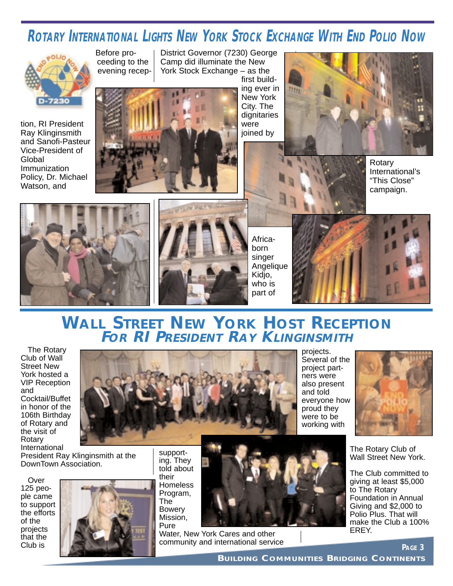# **ROTARY INTERNATIONAL LIGHTS NEW YORK STOCK EXCHANGE WITH END POLIO NOW**



tion, RI President Ray Klinginsmith and Sanofi-Pasteur Vice-President of Global Immunization Policy, Dr. Michael Watson, and



District Governor (7230) George Camp did illuminate the New York Stock Exchange – as the



first building ever in New York City. The dignitaries were joined by



Rotary

International's "This Close" campaign.





Africaborn singer Angelique Kidjo, who is part of



#### **WALL STREET NEW YORK HOST RECEPTION FOR RI PRESIDENT RAY KLINGINSMITH**

The Rotary Club of Wall Street New York hosted a VIP Reception and Cocktail/Buffet in honor of the 106th Birthday of Rotary and the visit of Rotary International

President Ray Klinginsmith at the DownTown Association.

Over 125 people came to support the efforts of the projects that the Club is



supporting. They told about their Homeless Program, The Bowery Mission, Pure

Water, New York Cares and other community and international service

projects. Several of the project partners were also present and told everyone how proud they were to be working with



The Rotary Club of Wall Street New York.

The Club committed to giving at least \$5,000 to The Rotary Foundation in Annual Giving and \$2,000 to Polio Plus. That will make the Club a 100% EREY.

**PAGE 3**